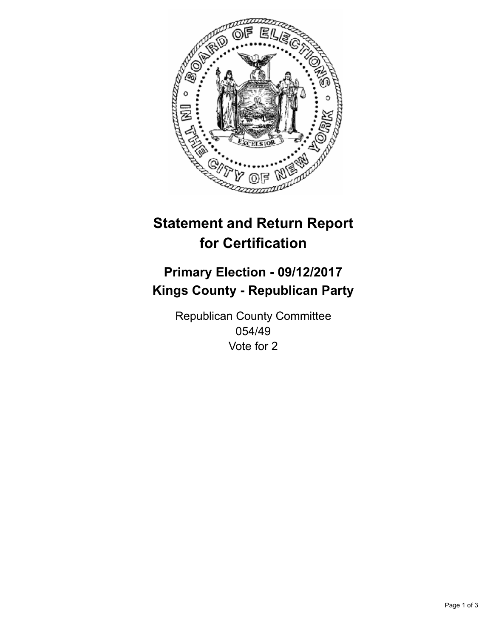

## **Statement and Return Report for Certification**

## **Primary Election - 09/12/2017 Kings County - Republican Party**

Republican County Committee 054/49 Vote for 2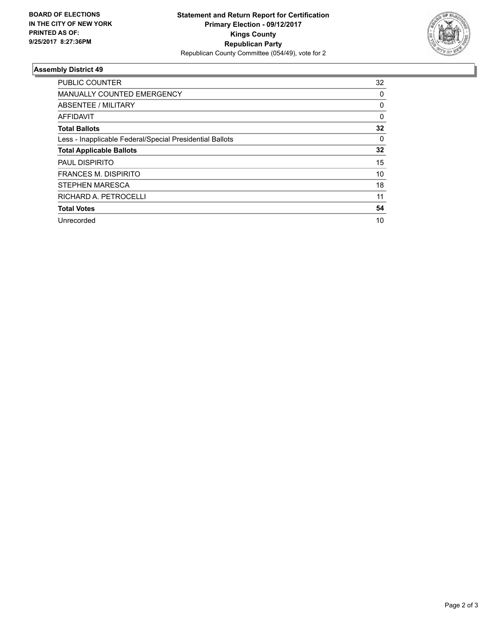

## **Assembly District 49**

| <b>PUBLIC COUNTER</b>                                    | 32       |
|----------------------------------------------------------|----------|
| <b>MANUALLY COUNTED EMERGENCY</b>                        | 0        |
| ABSENTEE / MILITARY                                      | 0        |
| AFFIDAVIT                                                | $\Omega$ |
| <b>Total Ballots</b>                                     | 32       |
| Less - Inapplicable Federal/Special Presidential Ballots | 0        |
| <b>Total Applicable Ballots</b>                          | 32       |
| <b>PAUL DISPIRITO</b>                                    | 15       |
| <b>FRANCES M. DISPIRITO</b>                              | 10       |
| <b>STEPHEN MARESCA</b>                                   | 18       |
| RICHARD A. PETROCELLI                                    | 11       |
| <b>Total Votes</b>                                       | 54       |
| Unrecorded                                               | 10       |